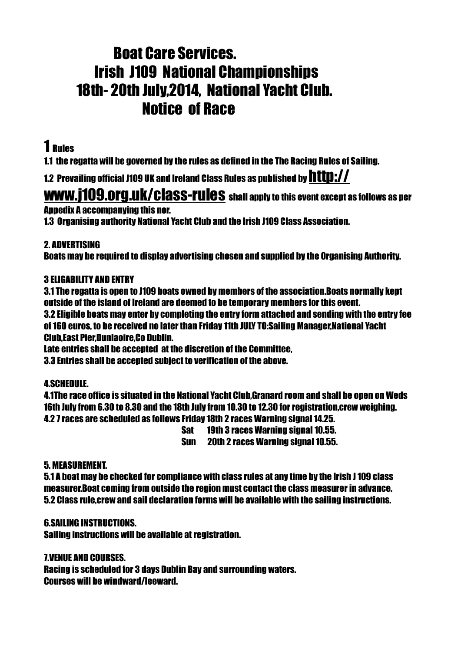# Boat Care Services. Irish J109 National Championships 18th- 20th July,2014, National Yacht Club. Notice of Race

## 1 Rules

1.1 the regatta will be governed by the rules as defined in the The Racing Rules of Sailing.

1.2 Prevailing official J109 UK and Ireland Class Rules as published by http://

# [www.j109.org.uk/class-rules shall apply to this event except a](http://www.j109.org.uk/class-rules)s follows as per

Appedix A accompanying this nor.

1.3 Organising authority National Yacht Club and the Irish J109 Class Association.

## 2. ADVERTISING

Boats may be required to display advertising chosen and supplied by the Organising Authority.

## 3 ELIGABILITY AND ENTRY

3.1 The regatta is open to J109 boats owned by members of the association.Boats normally kept outside of the island of Ireland are deemed to be temporary members for this event.

3.2 Eligible boats may enter by completing the entry form attached and sending with the entry fee of 160 euros, to be received no later than Friday 11th JULY TO:Sailing Manager,National Yacht Club,East Pier,Dunlaoire,Co Dublin.

Late entries shall be accepted at the discretion of the Committee,

3.3 Entries shall be accepted subject to verification of the above.

## 4.SCHEDULE.

4.1The race office is situated in the National Yacht Club,Granard room and shall be open on Weds 16th July from 6.30 to 8.30 and the 18th July from 10.30 to 12.30 for registration,crew weighing. 4.2 7 races are scheduled as follows Friday 18th 2 races Warning signal 14.25.

Sat 19th 3 races Warning signal 10.55.

Sun 20th 2 races Warning signal 10.55.

## 5. MEASUREMENT.

5.1 A boat may be checked for compliance with class rules at any time by the Irish J 109 class measurer.Boat coming from outside the region must contact the class measurer in advance. 5.2 Class rule,crew and sail declaration forms will be available with the sailing instructions.

### 6.SAILING INSTRUCTIONS.

Sailing instructions will be available at registration.

7.VENUE AND COURSES.

Racing is scheduled for 3 days Dublin Bay and surrounding waters. Courses will be windward/leeward.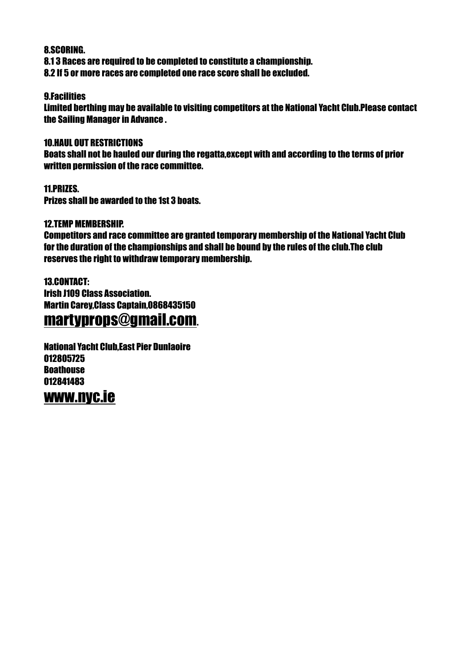#### 8.SCORING.

8.1 3 Races are required to be completed to constitute a championship. 8.2 If 5 or more races are completed one race score shall be excluded.

#### 9.Facilities

Limited berthing may be available to visiting competitors at the National Yacht Club.Please contact the Sailing Manager in Advance .

#### 10.HAUL OUT RESTRICTIONS

Boats shall not be hauled our during the regatta,except with and according to the terms of prior written permission of the race committee.

11.PRIZES. Prizes shall be awarded to the 1st 3 boats.

#### 12.TEMP MEMBERSHIP.

Competitors and race committee are granted temporary membership of the National Yacht Club for the duration of the championships and shall be bound by the rules of the club.The club reserves the right to withdraw temporary membership.

13.CONTACT: Irish J109 Class Association. Martin Carey,Class Captain,0868435150

# [martyprops@gmail.com](mailto:martyprops@gmail.com).

National Yacht Club,East Pier Dunlaoire 012805725 **Roathouse** 012841483

# [www.nyc.ie](http://www.nyc.ie)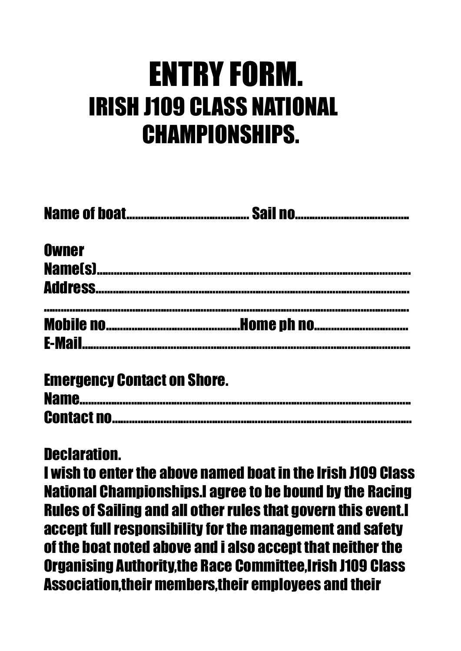# ENTRY FORM. IRISH J109 CLASS NATIONAL CHAMPIONSHIPS.

| <b>Owner</b>                                      |  |
|---------------------------------------------------|--|
|                                                   |  |
|                                                   |  |
|                                                   |  |
| $\bullet$ $\bullet$ $\bullet$ $\bullet$ $\bullet$ |  |

# Declaration.

I wish to enter the above named boat in the Irish J109 Class National Championships.I agree to be bound by the Racing Rules of Sailing and all other rules that govern this event.I accept full responsibility for the management and safety of the boat noted above and i also accept that neither the Organising Authority,the Race Committee,Irish J109 Class Association,their members,their employees and their